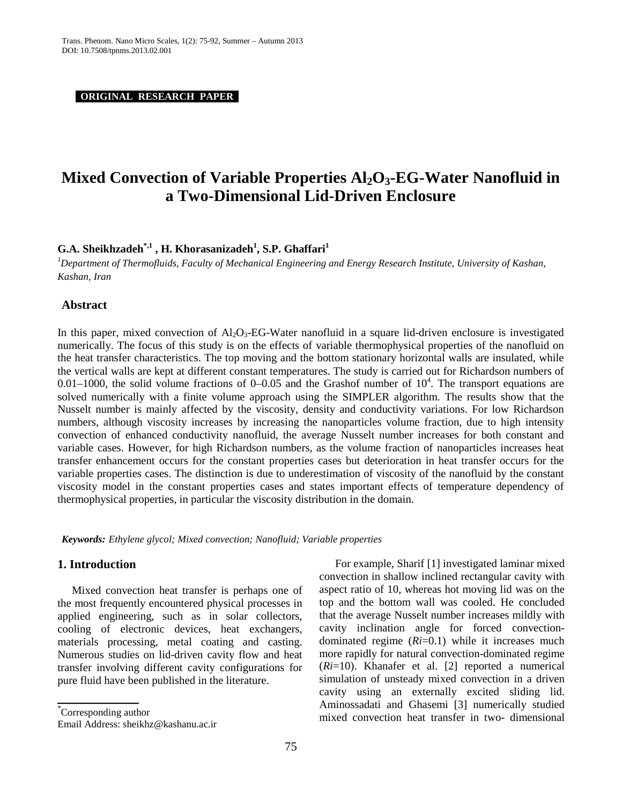**ORIGINAL RESEARCH PAPER .**

# **Mixed Convection of Variable Properties Al<sub>2</sub>O<sub>3</sub>-EG-Water Nanofluid in a Two-Dimensional Lid-Driven Enclosure**

 $\mathbf{G.A.}$  Sheikhzadeh $^{*,1}$  ,  $\mathbf{H.}$  Khorasanizadeh $^{1}$ , S.P. Ghaffari $^{1}$ 

<sup>1</sup>Department of Thermofluids, Faculty of Mechanical Engineering and Energy Research Institute, University of Kashan, *Kashan, Iran*

#### **Abstract**

In this paper, mixed convection of  $A_1O_3$ -EG-Water nanofluid in a square lid-driven enclosure is investigated numerically. The focus of this study is on the effects of variable thermophysical properties of the nanofluid on the heat transfer characteristics. The top moving and the bottom stationary horizontal walls are insulated, while the vertical walls are kept at different constant temperatures. The study is carried out for Richardson numbers of 0.01–1000, the solid volume fractions of 0–0.05 and the Grashof number of  $10^4$ . The transport equations are solved numerically with a finite volume approach using the SIMPLER algorithm. The results show that the Nusselt number is mainly affected by the viscosity, density and conductivity variations. For low Richardson numbers, although viscosity increases by increasing the nanoparticles volume fraction, due to high intensity convection of enhanced conductivity nanofluid, the average Nusselt number increases for both constant and variable cases. However, for high Richardson numbers, as the volume fraction of nanoparticles increases heat transfer enhancement occurs for the constant properties cases but deterioration in heat transfer occurs for the variable properties cases. The distinction is due to underestimation of viscosity of the nanofluid by the constant viscosity model in the constant properties cases and states important effects of temperature dependency of thermophysical properties, in particular the viscosity distribution in the domain.

*Keywords: Ethylene glycol; Mixed convection; Nanofluid; Variable properties*

#### **1. Introduction**

Mixed convection heat transfer is perhaps one of the most frequently encountered physical processes in applied engineering, such as in solar collectors, cooling of electronic devices, heat exchangers, materials processing, metal coating and casting. Numerous studies on lid-driven cavity flow and heat transfer involving different cavity configurations for pure fluid have been published in the literature.

For example, Sharif [1] investigated laminar mixed convection in shallow inclined rectangular cavity with aspect ratio of 10, whereas hot moving lid was on the top and the bottom wall was cooled. He concluded that the average Nusselt number increases mildly with cavity inclination angle for forced convectiondominated regime (*Ri*=0.1) while it increases much more rapidly for natural convection-dominated regime (*Ri*=10). Khanafer et al. [2] reported a numerical simulation of unsteady mixed convection in a driven cavity using an externally excited sliding lid. Aminossadati and Ghasemi [3] numerically studied mixed convection heat transfer in two- dimensional

**\_\_\_\_\_\_\_\_\_\_**

<sup>\*</sup> Corresponding author

Email Address: [sheikhz@kashanu.ac.ir](mailto:sheikhz@kashanu.ac.ir)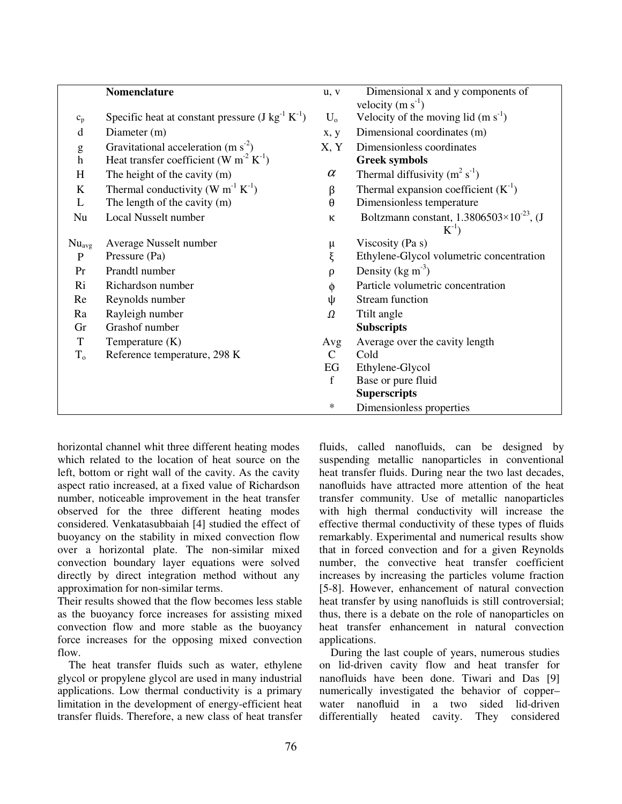|                                                                                                                                                                                                                                                                                                                                                                                                                                | <b>Nomenclature</b>                                            | u, v          | Dimensional x and y components of                  |
|--------------------------------------------------------------------------------------------------------------------------------------------------------------------------------------------------------------------------------------------------------------------------------------------------------------------------------------------------------------------------------------------------------------------------------|----------------------------------------------------------------|---------------|----------------------------------------------------|
|                                                                                                                                                                                                                                                                                                                                                                                                                                |                                                                |               | velocity $(m s-1)$                                 |
| $\mathbf{c}_{\rm p}$                                                                                                                                                                                                                                                                                                                                                                                                           | Specific heat at constant pressure $(J kg^{-1} K^{-1})$        | $U_{o}$       | Velocity of the moving lid $(m s-1)$               |
| d                                                                                                                                                                                                                                                                                                                                                                                                                              | Diameter (m)                                                   | x, y          | Dimensional coordinates (m)                        |
| $\mathbf{g}% _{T}=\mathbf{g}_{T}=\mathbf{g}_{T}=\mathbf{g}_{T}=\mathbf{g}_{T}=\mathbf{g}_{T}=\mathbf{g}_{T}=\mathbf{g}_{T}=\mathbf{g}_{T}=\mathbf{g}_{T}=\mathbf{g}_{T}=\mathbf{g}_{T}=\mathbf{g}_{T}=\mathbf{g}_{T}=\mathbf{g}_{T}=\mathbf{g}_{T}=\mathbf{g}_{T}=\mathbf{g}_{T}=\mathbf{g}_{T}=\mathbf{g}_{T}=\mathbf{g}_{T}=\mathbf{g}_{T}=\mathbf{g}_{T}=\mathbf{g}_{T}=\mathbf{g}_{T}=\mathbf{g}_{T}=\mathbf{g}_{T}=\math$ | Gravitational acceleration (m $s^2$ )                          | X, Y          | Dimensionless coordinates                          |
| $\boldsymbol{h}$                                                                                                                                                                                                                                                                                                                                                                                                               | Heat transfer coefficient (W m <sup>-2</sup> K <sup>-1</sup> ) |               | <b>Greek symbols</b>                               |
| H                                                                                                                                                                                                                                                                                                                                                                                                                              | The height of the cavity (m)                                   | $\alpha$      | Thermal diffusivity $(m^2 s^{-1})$                 |
| $\bf K$                                                                                                                                                                                                                                                                                                                                                                                                                        | Thermal conductivity (W $m^{-1} K^{-1}$ )                      | β             | Thermal expansion coefficient $(K^{-1})$           |
| L                                                                                                                                                                                                                                                                                                                                                                                                                              | The length of the cavity (m)                                   | $\theta$      | Dimensionless temperature                          |
| Nu                                                                                                                                                                                                                                                                                                                                                                                                                             | Local Nusselt number                                           | К             | Boltzmann constant, $1.3806503\times10^{-23}$ , (J |
|                                                                                                                                                                                                                                                                                                                                                                                                                                |                                                                |               | $K^{-1}$ )                                         |
| $Nu_{avg}$                                                                                                                                                                                                                                                                                                                                                                                                                     | Average Nusselt number                                         | μ             | Viscosity (Pa s)                                   |
| $\mathbf P$                                                                                                                                                                                                                                                                                                                                                                                                                    | Pressure (Pa)                                                  | ξ             | Ethylene-Glycol volumetric concentration           |
| Pr                                                                                                                                                                                                                                                                                                                                                                                                                             | Prandtl number                                                 | ρ             | Density ( $kg \text{ m}^{-3}$ )                    |
| Ri                                                                                                                                                                                                                                                                                                                                                                                                                             | Richardson number                                              | Φ             | Particle volumetric concentration                  |
| Re                                                                                                                                                                                                                                                                                                                                                                                                                             | Reynolds number                                                | ψ             | Stream function                                    |
| Ra                                                                                                                                                                                                                                                                                                                                                                                                                             | Rayleigh number                                                | Ω             | Ttilt angle                                        |
| Gr                                                                                                                                                                                                                                                                                                                                                                                                                             | Grashof number                                                 |               | <b>Subscripts</b>                                  |
| T                                                                                                                                                                                                                                                                                                                                                                                                                              | Temperature (K)                                                | Avg           | Average over the cavity length                     |
| $T_{o}$                                                                                                                                                                                                                                                                                                                                                                                                                        | Reference temperature, 298 K                                   | $\mathcal{C}$ | Cold                                               |
|                                                                                                                                                                                                                                                                                                                                                                                                                                |                                                                | EG            | Ethylene-Glycol                                    |
|                                                                                                                                                                                                                                                                                                                                                                                                                                |                                                                | $\mathbf f$   | Base or pure fluid                                 |
|                                                                                                                                                                                                                                                                                                                                                                                                                                |                                                                |               | <b>Superscripts</b>                                |
|                                                                                                                                                                                                                                                                                                                                                                                                                                |                                                                | ∗             | Dimensionless properties                           |

horizontal channel whit three different heating modes which related to the location of heat source on the left, bottom or right wall of the cavity. As the cavity aspect ratio increased, at a fixed value of Richardson number, noticeable improvement in the heat transfer observed for the three different heating modes considered. Venkatasubbaiah [4] studied the effect of buoyancy on the stability in mixed convection flow over a horizontal plate. The non-similar mixed convection boundary layer equations were solved directly by direct integration method without any approximation for non-similar terms.

Their results showed that the flow becomes less stable as the buoyancy force increases for assisting mixed convection flow and more stable as the buoyancy force increases for the opposing mixed convection flow.

 The heat transfer fluids such as water, ethylene glycol or propylene glycol are used in many industrial applications. Low thermal conductivity is a primary limitation in the development of energy-efficient heat transfer fluids. Therefore, a new class of heat transfer fluids, called nanofluids, can be designed by suspending metallic nanoparticles in conventional heat transfer fluids. During near the two last decades, nanofluids have attracted more attention of the heat transfer community. Use of metallic nanoparticles with high thermal conductivity will increase the effective thermal conductivity of these types of fluids remarkably. Experimental and numerical results show that in forced convection and for a given Reynolds number, the convective heat transfer coefficient increases by increasing the particles volume fraction [5-8]. However, enhancement of natural convection heat transfer by using nanofluids is still controversial; thus, there is a debate on the role of nanoparticles on heat transfer enhancement in natural convection applications.

 During the last couple of years, numerous studies on lid-driven cavity flow and heat transfer for nanofluids have been done. Tiwari and Das [9] numerically investigated the behavior of copper– water nanofluid in a two sided lid-driven differentially heated cavity. They considered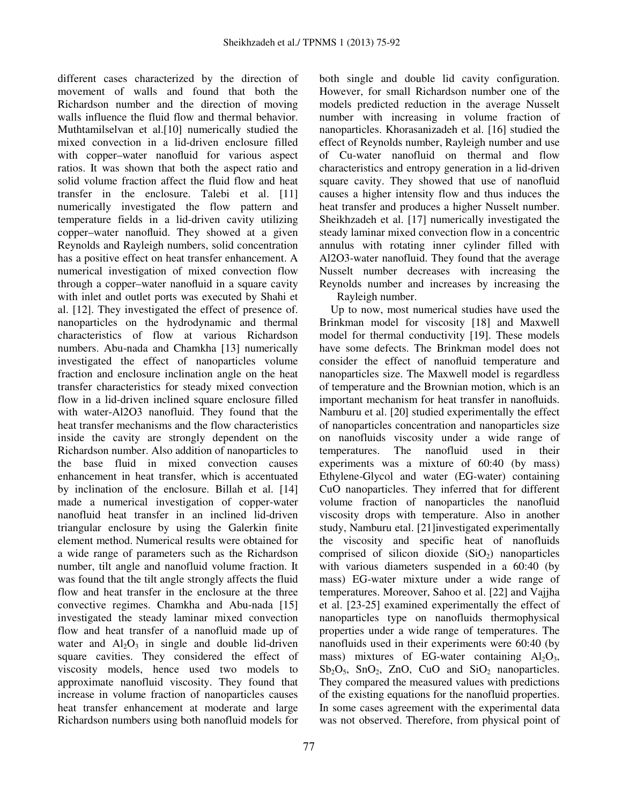different cases characterized by the direction of movement of walls and found that both the Richardson number and the direction of moving walls influence the fluid flow and thermal behavior. Muthtamilselvan et al.[10] numerically studied the mixed convection in a lid-driven enclosure filled with copper–water nanofluid for various aspect ratios. It was shown that both the aspect ratio and solid volume fraction affect the fluid flow and heat transfer in the enclosure. Talebi et al. [11] numerically investigated the flow pattern and temperature fields in a lid-driven cavity utilizing copper–water nanofluid. They showed at a given Reynolds and Rayleigh numbers, solid concentration has a positive effect on heat transfer enhancement. A numerical investigation of mixed convection flow through a copper–water nanofluid in a square cavity with inlet and outlet ports was executed by Shahi et al. [12]. They investigated the effect of presence of. nanoparticles on the hydrodynamic and thermal characteristics of flow at various Richardson numbers. Abu-nada and Chamkha [13] numerically investigated the effect of nanoparticles volume fraction and enclosure inclination angle on the heat transfer characteristics for steady mixed convection flow in a lid-driven inclined square enclosure filled with water-Al2O3 nanofluid. They found that the heat transfer mechanisms and the flow characteristics inside the cavity are strongly dependent on the Richardson number. Also addition of nanoparticles to the base fluid in mixed convection causes enhancement in heat transfer, which is accentuated by inclination of the enclosure. Billah et al. [14] made a numerical investigation of copper-water nanofluid heat transfer in an inclined lid-driven triangular enclosure by using the Galerkin finite element method. Numerical results were obtained for a wide range of parameters such as the Richardson number, tilt angle and nanofluid volume fraction. It was found that the tilt angle strongly affects the fluid flow and heat transfer in the enclosure at the three convective regimes. Chamkha and Abu-nada [15] investigated the steady laminar mixed convection flow and heat transfer of a nanofluid made up of water and  $Al_2O_3$  in single and double lid-driven square cavities. They considered the effect of viscosity models, hence used two models to approximate nanofluid viscosity. They found that increase in volume fraction of nanoparticles causes heat transfer enhancement at moderate and large Richardson numbers using both nanofluid models for

both single and double lid cavity configuration. However, for small Richardson number one of the models predicted reduction in the average Nusselt number with increasing in volume fraction of nanoparticles. Khorasanizadeh et al. [16] studied the effect of Reynolds number, Rayleigh number and use of Cu-water nanofluid on thermal and flow characteristics and entropy generation in a lid-driven square cavity. They showed that use of nanofluid causes a higher intensity flow and thus induces the heat transfer and produces a higher Nusselt number. Sheikhzadeh et al. [17] numerically investigated the steady laminar mixed convection flow in a concentric annulus with rotating inner cylinder filled with Al2O3-water nanofluid. They found that the average Nusselt number decreases with increasing the Reynolds number and increases by increasing the Rayleigh number.

 Up to now, most numerical studies have used the Brinkman model for viscosity [18] and Maxwell model for thermal conductivity [19]. These models have some defects. The Brinkman model does not consider the effect of nanofluid temperature and nanoparticles size. The Maxwell model is regardless of temperature and the Brownian motion, which is an important mechanism for heat transfer in nanofluids. Namburu et al. [20] studied experimentally the effect of nanoparticles concentration and nanoparticles size on nanofluids viscosity under a wide range of temperatures. The nanofluid used in their experiments was a mixture of 60:40 (by mass) Ethylene-Glycol and water (EG-water) containing CuO nanoparticles. They inferred that for different volume fraction of nanoparticles the nanofluid viscosity drops with temperature. Also in another study, Namburu etal. [21]investigated experimentally the viscosity and specific heat of nanofluids comprised of silicon dioxide  $(SiO<sub>2</sub>)$  nanoparticles with various diameters suspended in a 60:40 (by mass) EG-water mixture under a wide range of temperatures. Moreover, Sahoo et al. [22] and Vajjha et al. [23-25] examined experimentally the effect of nanoparticles type on nanofluids thermophysical properties under a wide range of temperatures. The nanofluids used in their experiments were 60:40 (by mass) mixtures of EG-water containing  $Al_2O_3$ ,  $Sb_2O_5$ ,  $SnO_2$ ,  $ZnO$ ,  $CuO$  and  $SiO_2$  nanoparticles. They compared the measured values with predictions of the existing equations for the nanofluid properties. In some cases agreement with the experimental data was not observed. Therefore, from physical point of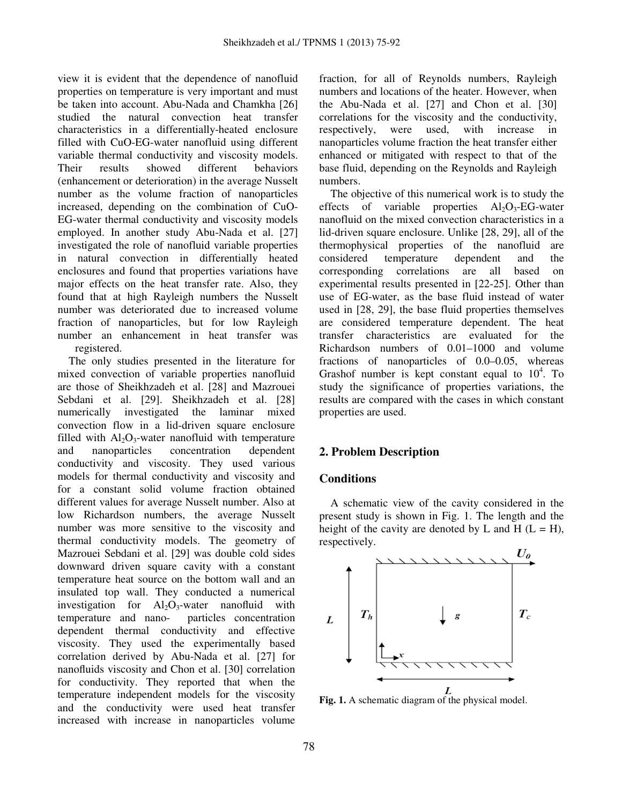view it is evident that the dependence of nanofluid properties on temperature is very important and must be taken into account. Abu-Nada and Chamkha [26] studied the natural convection heat transfer characteristics in a differentially-heated enclosure filled with CuO-EG-water nanofluid using different variable thermal conductivity and viscosity models. Their results showed different behaviors (enhancement or deterioration) in the average Nusselt number as the volume fraction of nanoparticles increased, depending on the combination of CuO-EG-water thermal conductivity and viscosity models employed. In another study Abu-Nada et al. [27] investigated the role of nanofluid variable properties in natural convection in differentially heated enclosures and found that properties variations have major effects on the heat transfer rate. Also, they found that at high Rayleigh numbers the Nusselt number was deteriorated due to increased volume fraction of nanoparticles, but for low Rayleigh number an enhancement in heat transfer was registered.

 The only studies presented in the literature for mixed convection of variable properties nanofluid are those of Sheikhzadeh et al. [28] and Mazrouei Sebdani et al. [29]. Sheikhzadeh et al. [28] numerically investigated the laminar mixed convection flow in a lid-driven square enclosure filled with  $Al_2O_3$ -water nanofluid with temperature and nanoparticles concentration dependent conductivity and viscosity. They used various models for thermal conductivity and viscosity and for a constant solid volume fraction obtained different values for average Nusselt number. Also at low Richardson numbers, the average Nusselt number was more sensitive to the viscosity and thermal conductivity models. The geometry of Mazrouei Sebdani et al. [29] was double cold sides downward driven square cavity with a constant temperature heat source on the bottom wall and an insulated top wall. They conducted a numerical investigation for  $Al_2O_3$ -water nanofluid with temperature and nano- particles concentration dependent thermal conductivity and effective viscosity. They used the experimentally based correlation derived by Abu-Nada et al. [27] for nanofluids viscosity and Chon et al. [30] correlation for conductivity. They reported that when the temperature independent models for the viscosity and the conductivity were used heat transfer increased with increase in nanoparticles volume

fraction, for all of Reynolds numbers, Rayleigh numbers and locations of the heater. However, when the Abu-Nada et al. [27] and Chon et al. [30] correlations for the viscosity and the conductivity, respectively, were used, with increase in nanoparticles volume fraction the heat transfer either enhanced or mitigated with respect to that of the base fluid, depending on the Reynolds and Rayleigh numbers.

 The objective of this numerical work is to study the effects of variable properties  $Al_2O_3$ -EG-water nanofluid on the mixed convection characteristics in a lid-driven square enclosure. Unlike [28, 29], all of the thermophysical properties of the nanofluid are considered temperature dependent and the corresponding correlations are all based on experimental results presented in [22-25]. Other than use of EG-water, as the base fluid instead of water used in [28, 29], the base fluid properties themselves are considered temperature dependent. The heat transfer characteristics are evaluated for the Richardson numbers of 0.01–1000 and volume fractions of nanoparticles of 0.0–0.05, whereas Grashof number is kept constant equal to  $10^4$ . To study the significance of properties variations, the results are compared with the cases in which constant properties are used.

# **2. Problem Description**

## **Conditions**

 A schematic view of the cavity considered in the present study is shown in Fig. 1. The length and the height of the cavity are denoted by L and H  $(L = H)$ , respectively.



**Fig. 1.** A schematic diagram of the physical model.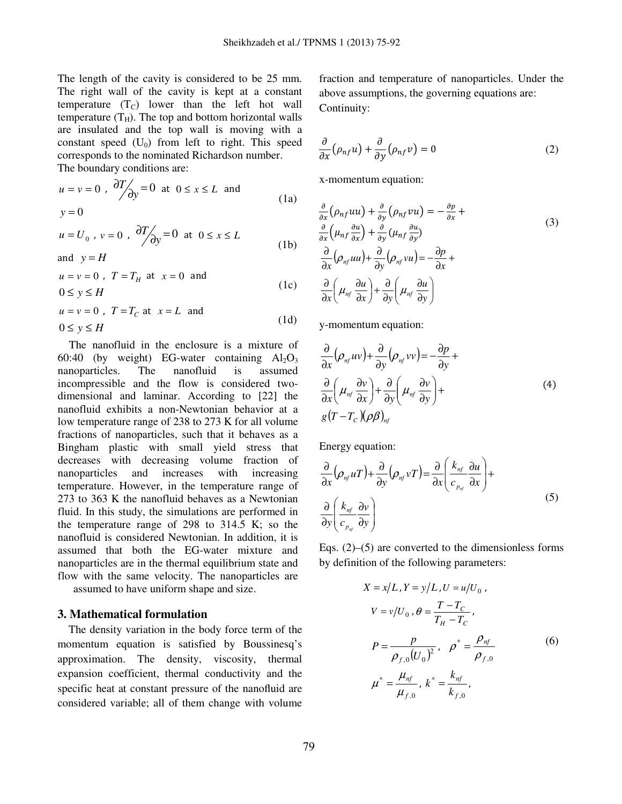The length of the cavity is considered to be 25 mm. The right wall of the cavity is kept at a constant temperature  $(T_C)$  lower than the left hot wall temperature  $(T_H)$ . The top and bottom horizontal walls are insulated and the top wall is moving with a constant speed  $(U_0)$  from left to right. This speed corresponds to the nominated Richardson number. The boundary conditions are:

 $u = v = 0$ ,  $\frac{\partial I}{\partial y} = 0$ ∂  $\int \frac{y}{y} = 0$  at  $0 \le x \le L$  and  $y = 0$ (1a)

$$
u = U_0, v = 0, \quad \frac{\partial T}{\partial y} = 0 \quad \text{at} \quad 0 \le x \le L \tag{1b}
$$

and  $v = H$ 

$$
u = v = 0, T = T_H \text{ at } x = 0 \text{ and}
$$
  
0 \le y \le H \t\t(1c)

$$
u = v = 0, T = T_C \text{ at } x = L \text{ and}
$$
  
0 \le y \le H \tag{1d}

 The nanofluid in the enclosure is a mixture of 60:40 (by weight) EG-water containing  $Al_2O_3$ nanoparticles. The nanofluid is assumed incompressible and the flow is considered twodimensional and laminar. According to [22] the nanofluid exhibits a non-Newtonian behavior at a low temperature range of 238 to 273 K for all volume fractions of nanoparticles, such that it behaves as a Bingham plastic with small yield stress that decreases with decreasing volume fraction of nanoparticles and increases with increasing temperature. However, in the temperature range of 273 to 363 K the nanofluid behaves as a Newtonian fluid. In this study, the simulations are performed in the temperature range of 298 to 314.5 K; so the nanofluid is considered Newtonian. In addition, it is assumed that both the EG-water mixture and nanoparticles are in the thermal equilibrium state and flow with the same velocity. The nanoparticles are

assumed to have uniform shape and size.

## **3. Mathematical formulation**

 The density variation in the body force term of the momentum equation is satisfied by Boussinesq's approximation. The density, viscosity, thermal expansion coefficient, thermal conductivity and the specific heat at constant pressure of the nanofluid are considered variable; all of them change with volume

fraction and temperature of nanoparticles. Under the above assumptions, the governing equations are: Continuity:

$$
\frac{\partial}{\partial x} \left( \rho_{nf} u \right) + \frac{\partial}{\partial y} \left( \rho_{nf} v \right) = 0 \tag{2}
$$

x-momentum equation:

$$
\frac{\partial}{\partial x} \left( \rho_{nf} uu \right) + \frac{\partial}{\partial y} \left( \rho_{nf} vu \right) = -\frac{\partial p}{\partial x} + \frac{\partial}{\partial x} \left( \mu_{nf} \frac{\partial u}{\partial x} \right) + \frac{\partial}{\partial y} \left( \mu_{nf} \frac{\partial u}{\partial y} \right) \n\frac{\partial}{\partial x} \left( \rho_{nf} uu \right) + \frac{\partial}{\partial y} \left( \rho_{nf} vu \right) = -\frac{\partial p}{\partial x} + \frac{\partial}{\partial x} \left( \mu_{nf} \frac{\partial u}{\partial x} \right) + \frac{\partial}{\partial y} \left( \mu_{nf} \frac{\partial u}{\partial y} \right)
$$
\n(3)

y-momentum equation:

$$
\frac{\partial}{\partial x} (\rho_{nf} uv) + \frac{\partial}{\partial y} (\rho_{nf} vv) = -\frac{\partial p}{\partial y} + \n\frac{\partial}{\partial x} (\mu_{nf} \frac{\partial v}{\partial x}) + \frac{\partial}{\partial y} (\mu_{nf} \frac{\partial v}{\partial y}) + \ng(T - T_c)(\rho \beta)_{nf}
$$
\n(4)

Energy equation:

$$
\frac{\partial}{\partial x} \left( \rho_{n f} u T \right) + \frac{\partial}{\partial y} \left( \rho_{n f} v T \right) = \frac{\partial}{\partial x} \left( \frac{k_{n f}}{c_{p_{n f}}} \frac{\partial u}{\partial x} \right) + \frac{\partial}{\partial y} \left( \frac{k_{n f}}{c_{p_{n f}}} \frac{\partial v}{\partial y} \right)
$$
\n(5)

Eqs.  $(2)$ – $(5)$  are converted to the dimensionless forms by definition of the following parameters:

$$
X = x/L, Y = y/L, U = u/U_0,
$$
  
\n
$$
V = v/U_0, \theta = \frac{T - T_C}{T_H - T_C},
$$
  
\n
$$
P = \frac{p}{\rho_{f,0}(U_0)^2}, \quad \rho^* = \frac{\rho_{nf}}{\rho_{f,0}}
$$
  
\n
$$
\mu^* = \frac{\mu_{nf}}{\mu_{f,0}}, \quad k^* = \frac{k_{nf}}{k_{f,0}},
$$
\n(6)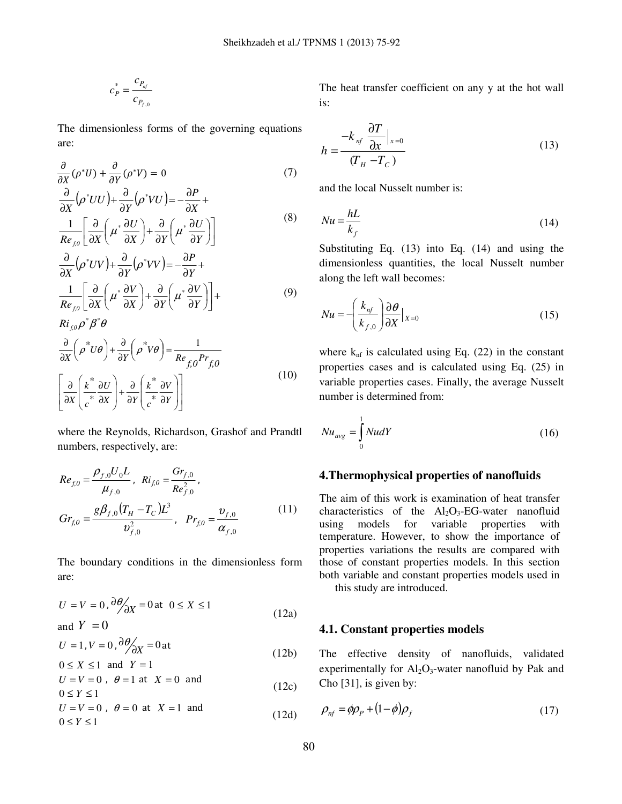$$
c_P^* = \frac{c_{P_{nf}}}{c_{P_{f,0}}}
$$

The dimensionless forms of the governing equations are:

$$
\frac{\partial}{\partial X}(\rho^* U) + \frac{\partial}{\partial Y}(\rho^* V) = 0 \tag{7}
$$
\n
$$
\frac{\partial}{\partial X}(\rho^* U U) + \frac{\partial}{\partial Y}(\rho^* V U) = -\frac{\partial P}{\partial X} + \frac{1}{\rho^2} \left[ \frac{\partial}{\partial Y} \left( \mu^* \frac{\partial U}{\partial Y} \right) + \frac{\partial}{\partial Y} \left( \mu^* \frac{\partial U}{\partial Y} \right) \right]
$$
\n(8)

$$
\frac{\overline{Re_{f,0}}}{\overline{\partial X}} \left[ \overline{\partial X} \left( \mu \overline{\partial X} \right) + \overline{\partial Y} \left( \mu \overline{\partial Y} \right) \right]
$$
\n
$$
\frac{\partial}{\partial X} (\rho^* UV) + \frac{\partial}{\partial Y} (\rho^* V V) = -\frac{\partial P}{\partial Y} + \frac{1}{\overline{\partial Y}} \left[ \frac{\partial}{\partial X} \left( \mu^* \frac{\partial V}{\partial X} \right) + \frac{\partial}{\partial Y} \left( \mu^* \frac{\partial V}{\partial Y} \right) \right] +
$$
\n(9)

$$
Ri_{f,0} \rho^* \beta^* \theta
$$
  
\n
$$
\frac{\partial}{\partial X} \left( \rho^* U \theta \right) + \frac{\partial}{\partial Y} \left( \rho^* V \theta \right) = \frac{1}{Re_{f,0} Pr_{f,0}}
$$
  
\n
$$
\left[ \frac{\partial}{\partial X} \left( \frac{k^*}{c^*} \frac{\partial U}{\partial X} \right) + \frac{\partial}{\partial Y} \left( \frac{k^*}{c^*} \frac{\partial V}{\partial Y} \right) \right]
$$
\n(10)

where the Reynolds, Richardson, Grashof and Prandtl numbers, respectively, are:

$$
Re_{f,0} = \frac{\rho_{f,0} U_0 L}{\mu_{f,0}}, \quad Ri_{f,0} = \frac{Gr_{f,0}}{Re_{f,0}^2},
$$
  

$$
Gr_{f,0} = \frac{g\beta_{f,0} (T_H - T_C)L^3}{v_{f,0}^2}, \quad Pr_{f,0} = \frac{v_{f,0}}{\alpha_{f,0}}
$$
(11)

The boundary conditions in the dimensionless form are:

$$
U = V = 0, \frac{\partial \theta}{\partial X} = 0 \text{ at } 0 \le X \le 1
$$
  
and  $Y = 0$  (12a)

$$
U = 1, V = 0, \frac{\partial \theta}{\partial X} = 0 \text{ at}
$$
  
0 < X < 1 and Y = 1 (12b)

$$
U \le X \le 1
$$
 and  $T = 1$   
 $U = V = 0$ ,  $\theta = 1$  at  $X = 0$  and (12c)

$$
0 \le Y \le 1
$$
  
\n
$$
U = V = 0, \ \theta = 0 \text{ at } X = 1 \text{ and}
$$
  
\n
$$
0 \le Y \le 1
$$
 (12d)

The heat transfer coefficient on any y at the hot wall is:

$$
h = \frac{-k_{nf} \frac{\partial T}{\partial x}|_{x=0}}{(T_H - T_C)}
$$
(13)

and the local Nusselt number is:

$$
Nu = \frac{hL}{k_f} \tag{14}
$$

Substituting Eq. (13) into Eq. (14) and using the dimensionless quantities, the local Nusselt number along the left wall becomes:

$$
Nu = -\left(\frac{k_{nf}}{k_{f,0}}\right)\frac{\partial \theta}{\partial X}\Big|_{X=0}
$$
\n(15)

where  $k_{\text{nf}}$  is calculated using Eq. (22) in the constant properties cases and is calculated using Eq. (25) in variable properties cases. Finally, the average Nusselt number is determined from:

$$
Nu_{avg} = \int_{0}^{1} NudY
$$
 (16)

#### **4.Thermophysical properties of nanofluids**

The aim of this work is examination of heat transfer characteristics of the  $Al_2O_3$ -EG-water nanofluid using models for variable properties with temperature. However, to show the importance of properties variations the results are compared with those of constant properties models. In this section both variable and constant properties models used in this study are introduced.

#### **4.1. Constant properties models**

The effective density of nanofluids, validated experimentally for  $Al_2O_3$ -water nanofluid by Pak and Cho [31], is given by:

$$
\rho_{nf} = \phi \rho_p + (1 - \phi) \rho_f \tag{17}
$$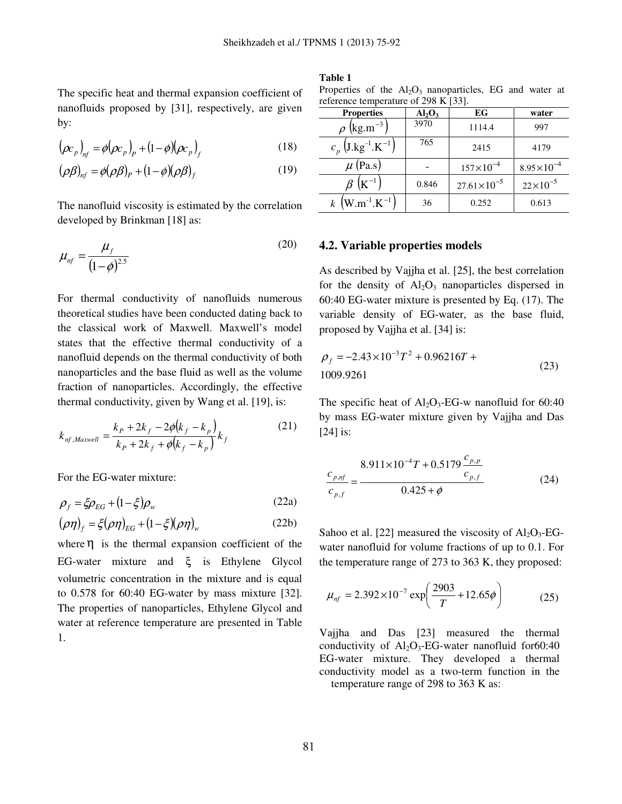The specific heat and thermal expansion coefficient of nanofluids proposed by [31], respectively, are given by:

$$
(\rho c_p)_{n f} = \phi(\rho c_p)_{P} + (1 - \phi)(\rho c_p)_{f}
$$
 (18)

$$
(\rho \beta)_{nf} = \phi(\rho \beta)_P + (1 - \phi)(\rho \beta)_f \tag{19}
$$

The nanofluid viscosity is estimated by the correlation developed by Brinkman [18] as:

$$
\mu_{nf} = \frac{\mu_f}{(1-\phi)^{2.5}}
$$
\n(20)

For thermal conductivity of nanofluids numerous theoretical studies have been conducted dating back to the classical work of Maxwell. Maxwell's model states that the effective thermal conductivity of a nanofluid depends on the thermal conductivity of both nanoparticles and the base fluid as well as the volume fraction of nanoparticles. Accordingly, the effective thermal conductivity, given by Wang et al. [19], is:

$$
k_{nf,Maxwell} = \frac{k_p + 2k_f - 2\phi(k_f - k_p)}{k_p + 2k_f + \phi(k_f - k_p)} k_f
$$
 (21)

For the EG-water mixture:

$$
\rho_f = \xi \rho_{EG} + (1 - \xi) \rho_w \tag{22a}
$$

$$
(\rho \eta)_f = \xi(\rho \eta)_{EG} + (1 - \xi)(\rho \eta)_w \tag{22b}
$$

where  $\eta$  is the thermal expansion coefficient of the EG-water mixture and ξ is Ethylene Glycol volumetric concentration in the mixture and is equal to 0.578 for 60:40 EG-water by mass mixture [32]. The properties of nanoparticles, Ethylene Glycol and water at reference temperature are presented in Table 1.

#### **Table 1**

|  |  | Properties of the $Al_2O_3$ nanoparticles, EG and water at |  |  |
|--|--|------------------------------------------------------------|--|--|
|  |  | reference temperature of 298 K [33].                       |  |  |

| <b>Properties</b>                            | Al <sub>2</sub> O <sub>3</sub> | EG                     | water                 |
|----------------------------------------------|--------------------------------|------------------------|-----------------------|
| $\rho$ (kg.m <sup>-3</sup> )                 | 3970                           | 1114.4                 | 997                   |
| $c_p$ (J.kg <sup>-1</sup> .K <sup>-1</sup> ) | 765                            | 2415                   | 4179                  |
| $\mu$ (Pa.s)                                 |                                | $157\times10^{-4}$     | $8.95 \times 10^{-4}$ |
| $\beta$ (K <sup>-1</sup> )                   | 0.846                          | $27.61 \times 10^{-5}$ | $22\times10^{-5}$     |
| $k$ (W.m <sup>-1</sup> .K <sup>-1</sup> )    | 36                             | 0.252                  | 0.613                 |

#### **4.2. Variable properties models**

As described by Vajjha et al. [25], the best correlation for the density of  $Al_2O_3$  nanoparticles dispersed in 60:40 EG-water mixture is presented by Eq. (17). The variable density of EG-water, as the base fluid, proposed by Vajjha et al. [34] is:

$$
\rho_f = -2.43 \times 10^{-3} T^2 + 0.96216T + 1009.9261 \tag{23}
$$

The specific heat of  $Al_2O_3$ -EG-w nanofluid for 60:40 by mass EG-water mixture given by Vajjha and Das [24] is:

$$
\frac{c_{p,nf}}{c_{p,f}} = \frac{8.911 \times 10^{-4} T + 0.5179 \frac{c_{p,p}}{c_{p,f}}}{0.425 + \phi}
$$
 (24)

Sahoo et al. [22] measured the viscosity of  $Al_2O_3$ -EGwater nanofluid for volume fractions of up to 0.1. For the temperature range of 273 to 363 K, they proposed:

$$
\mu_{nf} = 2.392 \times 10^{-7} \exp\left(\frac{2903}{T} + 12.65\phi\right) \tag{25}
$$

Vajjha and Das [23] measured the thermal conductivity of  $Al_2O_3$ -EG-water nanofluid for 60:40 EG-water mixture. They developed a thermal conductivity model as a two-term function in the temperature range of 298 to 363 K as: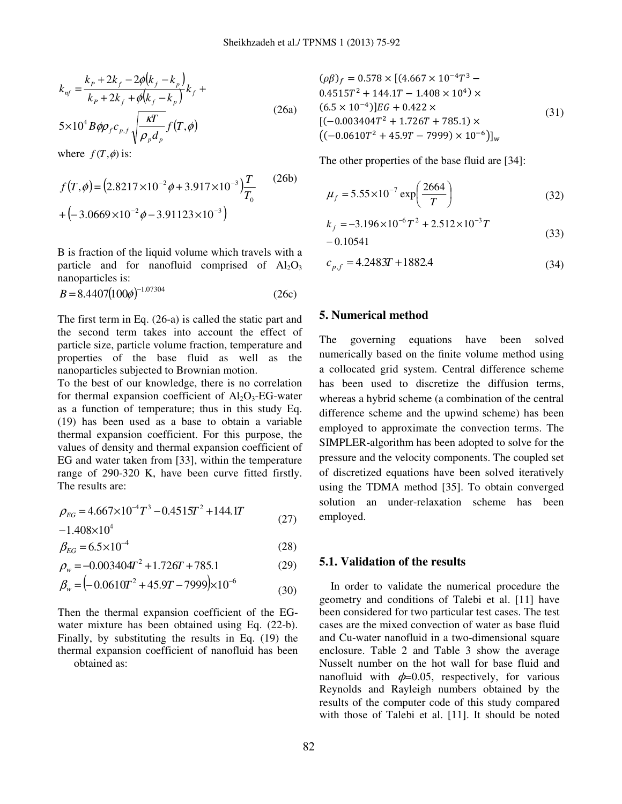$$
k_{nf} = \frac{k_p + 2k_f - 2\phi(k_f - k_p)}{k_p + 2k_f + \phi(k_f - k_p)} k_f +
$$
  

$$
5 \times 10^4 B \phi \rho_f c_{p,f} \sqrt{\frac{\kappa T}{\rho_p d_p}} f(T, \phi)
$$
 (26a)

where  $f(T, \phi)$  is:

$$
f(T, \phi) = (2.8217 \times 10^{-2} \phi + 3.917 \times 10^{-3}) \frac{T}{T_0}
$$
 (26b)  
+ (-3.0669×10<sup>-2</sup>  $\phi$  - 3.91123×10<sup>-3</sup>)

B is fraction of the liquid volume which travels with a particle and for nanofluid comprised of  $Al_2O_3$ nanoparticles is:

$$
B = 8.4407(100\phi)^{-1.07304}
$$
 (26c)

The first term in Eq. (26-a) is called the static part and the second term takes into account the effect of particle size, particle volume fraction, temperature and properties of the base fluid as well as the nanoparticles subjected to Brownian motion.

To the best of our knowledge, there is no correlation for thermal expansion coefficient of  $Al_2O_3$ -EG-water as a function of temperature; thus in this study Eq. (19) has been used as a base to obtain a variable thermal expansion coefficient. For this purpose, the values of density and thermal expansion coefficient of EG and water taken from [33], within the temperature range of 290-320 K, have been curve fitted firstly. The results are:

$$
\rho_{EG} = 4.667 \times 10^{-4} T^3 - 0.4515T^2 + 144.1T
$$
  
-1.408×10<sup>4</sup> (27)

$$
\beta_{EG} = 6.5 \times 10^{-4} \tag{28}
$$

$$
\rho_w = -0.003404T^2 + 1.726T + 785.1\tag{29}
$$

$$
\beta_w = (-0.0610T^2 + 45.9T - 7999) \times 10^{-6}
$$
\n(30)

Then the thermal expansion coefficient of the EGwater mixture has been obtained using Eq. (22-b). Finally, by substituting the results in Eq. (19) the thermal expansion coefficient of nanofluid has been obtained as:

$$
(\rho \beta)_f = 0.578 \times [(4.667 \times 10^{-4}T^3 - 0.4515T^2 + 144.1T - 1.408 \times 10^4) \times (6.5 \times 10^{-4})]EG + 0.422 \times [(-0.003404T^2 + 1.726T + 785.1) \times ((-0.0610T^2 + 45.9T - 7999) \times 10^{-6})]_w
$$
\n(31)

The other properties of the base fluid are [34]:

$$
\mu_f = 5.55 \times 10^{-7} \exp\left(\frac{2664}{T}\right)
$$
 (32)

$$
k_f = -3.196 \times 10^{-6} T^2 + 2.512 \times 10^{-3} T
$$
  
- 0.10541 (33)

$$
c_{p,f} = 4.2483T + 1882.4\tag{34}
$$

## **5. Numerical method**

The governing equations have been solved numerically based on the finite volume method using a collocated grid system. Central difference scheme has been used to discretize the diffusion terms, whereas a hybrid scheme (a combination of the central difference scheme and the upwind scheme) has been employed to approximate the convection terms. The SIMPLER-algorithm has been adopted to solve for the pressure and the velocity components. The coupled set of discretized equations have been solved iteratively using the TDMA method [35]. To obtain converged solution an under-relaxation scheme has been employed.

#### **5.1. Validation of the results**

 In order to validate the numerical procedure the geometry and conditions of Talebi et al. [11] have been considered for two particular test cases. The test cases are the mixed convection of water as base fluid and Cu-water nanofluid in a two-dimensional square enclosure. Table 2 and Table 3 show the average Nusselt number on the hot wall for base fluid and nanofluid with  $\phi$ =0.05, respectively, for various Reynolds and Rayleigh numbers obtained by the results of the computer code of this study compared with those of Talebi et al. [11]. It should be noted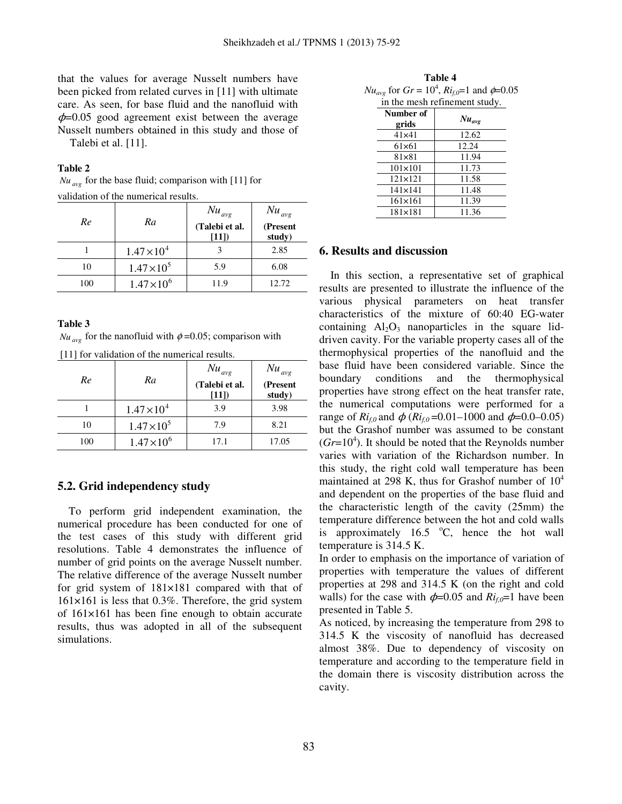that the values for average Nusselt numbers have been picked from related curves in [11] with ultimate care. As seen, for base fluid and the nanofluid with  $\phi$ =0.05 good agreement exist between the average Nusselt numbers obtained in this study and those of Talebi et al. [11].

#### **Table 2**

 $Nu_{ave}$  for the base fluid; comparison with [11] for validation of the numerical results.

| Re  | Ra                   | $Nu_{avg}$<br>(Talebi et al.<br>[11]) | $Nu_{avg}$<br>(Present<br>study) |
|-----|----------------------|---------------------------------------|----------------------------------|
|     | $1.47 \times 10^{4}$ |                                       | 2.85                             |
| 10  | $1.47 \times 10^5$   | 5.9                                   | 6.08                             |
| 100 | $1.47 \times 10^{6}$ | 11.9                                  | 12.72                            |

#### **Table 3**

 $Nu_{ave}$  for the nanofluid with  $\phi$  =0.05; comparison with

[11] for validation of the numerical results.

| Re  | Ra                   | $Nu_{avg}$<br>(Talebi et al.<br>$[11])$ | $Nu_{avg}$<br>(Present<br>study) |
|-----|----------------------|-----------------------------------------|----------------------------------|
|     | $1.47 \times 10^{4}$ | 3.9                                     | 3.98                             |
| 10  | $1.47 \times 10^5$   | 7.9                                     | 8.21                             |
| 100 | $1.47 \times 10^{6}$ | 17.1                                    | 17.05                            |

#### **5.2. Grid independency study**

 To perform grid independent examination, the numerical procedure has been conducted for one of the test cases of this study with different grid resolutions. Table 4 demonstrates the influence of number of grid points on the average Nusselt number. The relative difference of the average Nusselt number for grid system of 181×181 compared with that of  $161\times161$  is less that 0.3%. Therefore, the grid system of 161×161 has been fine enough to obtain accurate results, thus was adopted in all of the subsequent simulations.

**Table 4**  *Nu*<sub>*avg*</sub> for *Gr* =  $10^4$ , *Ri*<sub>*f*,0</sub>=1 and  $\phi$ =0.05 in the mesh refinement study.

| Number of<br>grids | $Nu_{avg}$ |
|--------------------|------------|
| 41×41              | 12.62      |
| 61×61              | 12.24      |
| 81×81              | 11.94      |
| $101 \times 101$   | 11.73      |
| $121 \times 121$   | 11.58      |
| $141\times141$     | 11.48      |
| 161×161            | 11.39      |
| $181\times181$     | 11.36      |

#### **6. Results and discussion**

 In this section, a representative set of graphical results are presented to illustrate the influence of the various physical parameters on heat transfer characteristics of the mixture of 60:40 EG-water containing  $Al_2O_3$  nanoparticles in the square liddriven cavity. For the variable property cases all of the thermophysical properties of the nanofluid and the base fluid have been considered variable. Since the boundary conditions and the thermophysical properties have strong effect on the heat transfer rate, the numerical computations were performed for a range of  $Ri_{f0}$  and  $\phi$  ( $Ri_{f0}$  =0.01–1000 and  $\phi$ =0.0–0.05) but the Grashof number was assumed to be constant  $(Gr=10<sup>4</sup>)$ . It should be noted that the Reynolds number varies with variation of the Richardson number. In this study, the right cold wall temperature has been maintained at 298 K, thus for Grashof number of  $10^4$ and dependent on the properties of the base fluid and the characteristic length of the cavity (25mm) the temperature difference between the hot and cold walls is approximately  $16.5 \degree C$ , hence the hot wall temperature is 314.5 K.

In order to emphasis on the importance of variation of properties with temperature the values of different properties at 298 and 314.5 K (on the right and cold walls) for the case with  $\phi$ =0.05 and  $Ri_{f,0}$ =1 have been presented in Table 5.

As noticed, by increasing the temperature from 298 to 314.5 K the viscosity of nanofluid has decreased almost 38%. Due to dependency of viscosity on temperature and according to the temperature field in the domain there is viscosity distribution across the cavity.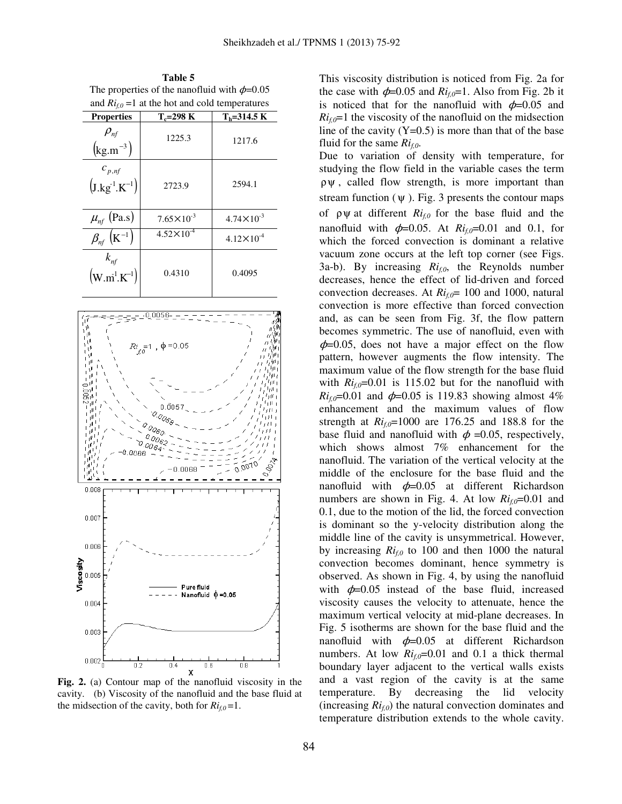**Table 5**  The properties of the nanofluid with  $\phi$ =0.05 and  $Ri_{f,0}$  =1 at the hot and cold temperatures

| <b>Properties</b>                                  | $T_c = 298$ K         | $T_h = 314.5 \text{ K}$ |
|----------------------------------------------------|-----------------------|-------------------------|
| $\rho_{\rm nf}$<br>$\left(\text{kg.m}^{-3}\right)$ | 1225.3                | 1217.6                  |
| $c_{p,nf}$<br>$(J.kg^{-1}.K^{-1})$                 | 2723.9                | 2594.1                  |
| $\mu_{n}$ (Pa.s)                                   | $7.65 \times 10^{-3}$ | $4.74 \times 10^{-3}$   |
| $\beta_{n}$ $(K^{-1})$                             | $4.52 \times 10^{-4}$ | $4.12 \times 10^{-4}$   |
| $k_{nf}$<br>$(w.m^{1}.K^{-1})$                     | 0.4310                | 0.4095                  |



**Fig. 2.** (a) Contour map of the nanofluid viscosity in the cavity. (b) Viscosity of the nanofluid and the base fluid at the midsection of the cavity, both for  $Ri_{f,0}=1$ .

This viscosity distribution is noticed from Fig. 2a for the case with  $\phi$ =0.05 and  $Ri_{f,0}$ =1. Also from Fig. 2b it is noticed that for the nanofluid with  $\phi$ =0.05 and  $Ri_{f,0}=1$  the viscosity of the nanofluid on the midsection line of the cavity  $(Y=0.5)$  is more than that of the base fluid for the same *Rif,0*.

Due to variation of density with temperature, for studying the flow field in the variable cases the term  $\rho \psi$ , called flow strength, is more important than stream function  $(\psi)$ . Fig. 3 presents the contour maps of ρψ at different *Rif,0* for the base fluid and the nanofluid with  $\phi$ =0.05. At  $Ri_{f,0}$ =0.01 and 0.1, for which the forced convection is dominant a relative vacuum zone occurs at the left top corner (see Figs. 3a-b). By increasing *Rif,0*, the Reynolds number decreases, hence the effect of lid-driven and forced convection decreases. At *Rif,0*= 100 and 1000, natural convection is more effective than forced convection and, as can be seen from Fig. 3f, the flow pattern becomes symmetric. The use of nanofluid, even with  $\phi$ =0.05, does not have a major effect on the flow pattern, however augments the flow intensity. The maximum value of the flow strength for the base fluid with  $Ri_{f,0}=0.01$  is 115.02 but for the nanofluid with *Ri*<sub>*f*</sub> $_0$ =0.01 and  $\phi$ =0.05 is 119.83 showing almost 4% enhancement and the maximum values of flow strength at  $Ri_f=1000$  are 176.25 and 188.8 for the base fluid and nanofluid with  $\phi = 0.05$ , respectively, which shows almost 7% enhancement for the nanofluid. The variation of the vertical velocity at the middle of the enclosure for the base fluid and the nanofluid with  $\phi$ =0.05 at different Richardson numbers are shown in Fig. 4. At low  $Ri_{f0}$ =0.01 and 0.1, due to the motion of the lid, the forced convection is dominant so the y-velocity distribution along the middle line of the cavity is unsymmetrical. However, by increasing  $Ri_{f,0}$  to 100 and then 1000 the natural convection becomes dominant, hence symmetry is observed. As shown in Fig. 4, by using the nanofluid with  $\phi$ =0.05 instead of the base fluid, increased viscosity causes the velocity to attenuate, hence the maximum vertical velocity at mid-plane decreases. In Fig. 5 isotherms are shown for the base fluid and the nanofluid with  $\phi$ =0.05 at different Richardson numbers. At low  $Ri_{fo}=0.01$  and 0.1 a thick thermal boundary layer adjacent to the vertical walls exists and a vast region of the cavity is at the same temperature. By decreasing the lid velocity (increasing  $Ri_{f,0}$ ) the natural convection dominates and temperature distribution extends to the whole cavity.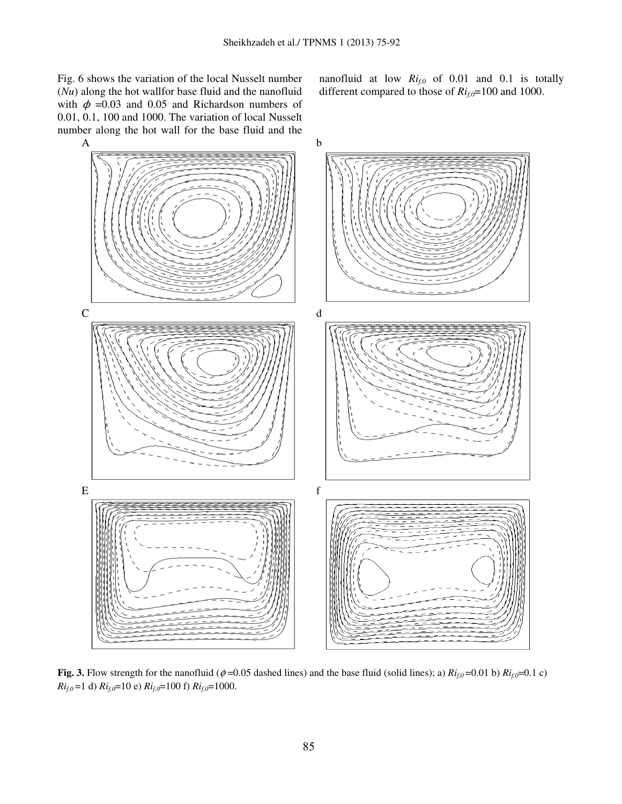Fig. 6 shows the variation of the local Nusselt number (*Nu*) along the hot wallfor base fluid and the nanofluid with  $\phi$  =0.03 and 0.05 and Richardson numbers of 0.01, 0.1, 100 and 1000. The variation of local Nusselt number along the hot wall for the base fluid and the

nanofluid at low *Rif,0* of 0.01 and 0.1 is totally different compared to those of *Rif,0*=100 and 1000.



**Fig. 3.** Flow strength for the nanofluid ( $\phi$  =0.05 dashed lines) and the base fluid (solid lines); a)  $Ri_{f,0}$  =0.01 b)  $Ri_{f,0}$ =0.1 c) *Rif,0* =1 d) *Rif,0*=10 e) *Rif,0*=100 f) *Rif,0*=1000.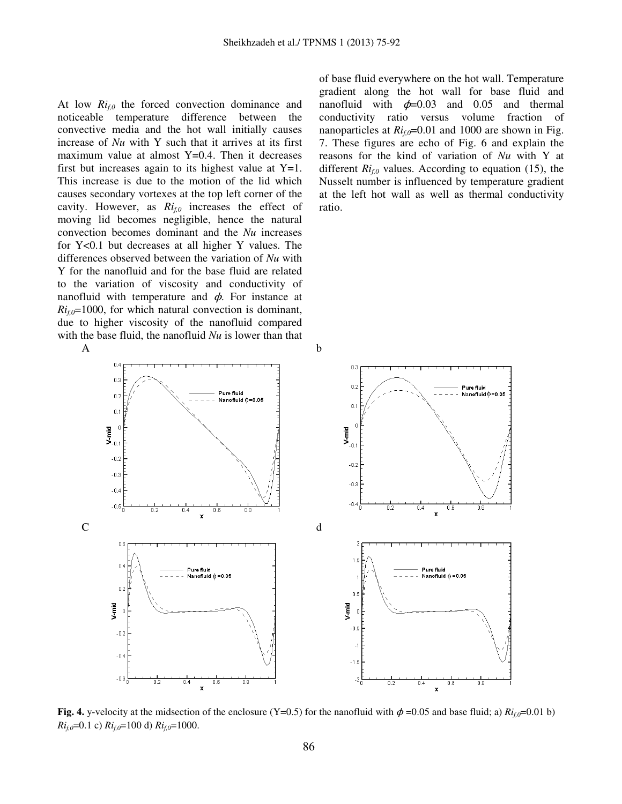At low *Rif,0* the forced convection dominance and noticeable temperature difference between the convective media and the hot wall initially causes increase of *Nu* with Y such that it arrives at its first maximum value at almost  $Y=0.4$ . Then it decreases first but increases again to its highest value at  $Y=1$ . This increase is due to the motion of the lid which causes secondary vortexes at the top left corner of the cavity. However, as *Rif,0* increases the effect of moving lid becomes negligible, hence the natural convection becomes dominant and the *Nu* increases for Y<0.1 but decreases at all higher Y values. The differences observed between the variation of *Nu* with Y for the nanofluid and for the base fluid are related to the variation of viscosity and conductivity of nanofluid with temperature and  $\phi$ . For instance at  $Ri_{f,0}=1000$ , for which natural convection is dominant, due to higher viscosity of the nanofluid compared with the base fluid, the nanofluid *Nu* is lower than that  $A$  b

of base fluid everywhere on the hot wall. Temperature gradient along the hot wall for base fluid and nanofluid with  $\phi$ =0.03 and 0.05 and thermal conductivity ratio versus volume fraction of nanoparticles at  $Ri_{fo}$ =0.01 and 1000 are shown in Fig. 7. These figures are echo of Fig. 6 and explain the reasons for the kind of variation of *Nu* with Y at different  $Ri_{f0}$  values. According to equation (15), the Nusselt number is influenced by temperature gradient at the left hot wall as well as thermal conductivity ratio.



**Fig. 4.** y-velocity at the midsection of the enclosure (Y=0.5) for the nanofluid with  $\phi$ =0.05 and base fluid; a)  $Ri_f = 0.01$  b) *Ri*<sub>*f*,0</sub>=0.1 c) *Ri*<sub>*f*,0</sub>=100 d) *Ri*<sub>*f*,0</sub>=1000.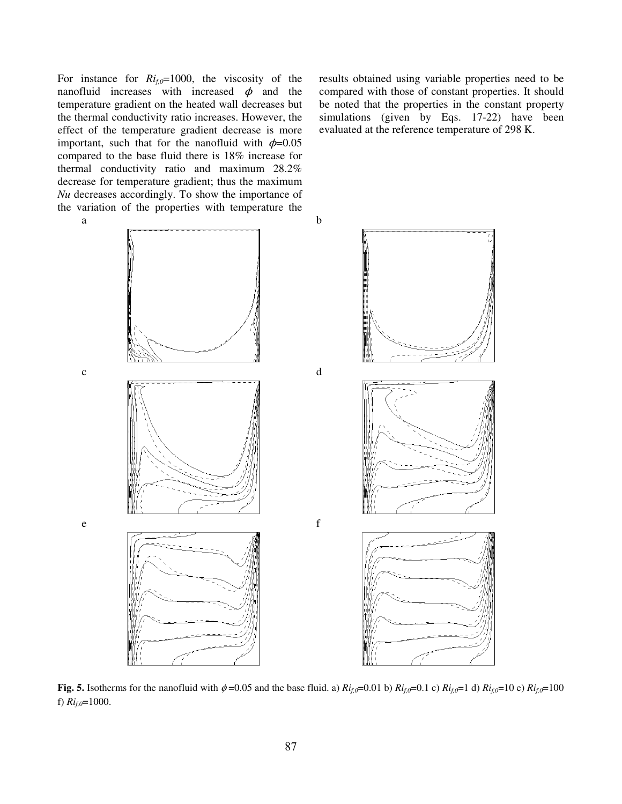For instance for *Rif,0*=1000, the viscosity of the nanofluid increases with increased  $\phi$  and the temperature gradient on the heated wall decreases but the thermal conductivity ratio increases. However, the effect of the temperature gradient decrease is more important, such that for the nanofluid with  $\phi$ =0.05 compared to the base fluid there is 18% increase for thermal conductivity ratio and maximum 28.2% decrease for temperature gradient; thus the maximum *Nu* decreases accordingly. To show the importance of the variation of the properties with temperature the

results obtained using variable properties need to be compared with those of constant properties. It should be noted that the properties in the constant property simulations (given by Eqs. 17-22) have been evaluated at the reference temperature of 298 K.



**Fig. 5.** Isotherms for the nanofluid with  $\phi = 0.05$  and the base fluid. a)  $R_{i}$ <sub>*f*</sub> $=0.01$  b)  $R_{i}$ <sub>*f*</sub> $=0.1$  c)  $R_{i}$ <sub>*f*</sub> $=1$  d)  $R_{i}$ <sub>*f*</sub> $=10$  e)  $R_{i}$ <sub>*f*</sub> $=100$ f)  $Ri_{f,0}=1000$ .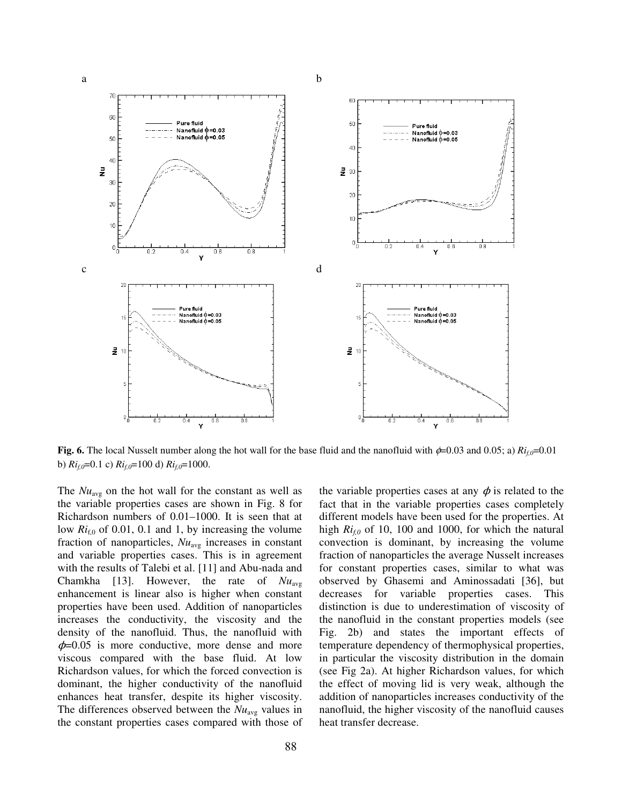

**Fig. 6.** The local Nusselt number along the hot wall for the base fluid and the nanofluid with  $\phi$ =0.03 and 0.05; a)  $R_{i,0}$ =0.01 b)  $Ri_{f,0}$ =0.1 c)  $Ri_{f,0}$ =100 d)  $Ri_{f,0}$ =1000.

The  $Nu_{avg}$  on the hot wall for the constant as well as the variable properties cases are shown in Fig. 8 for Richardson numbers of 0.01–1000. It is seen that at low  $Ri_{f,0}$  of 0.01, 0.1 and 1, by increasing the volume fraction of nanoparticles,  $Nu_{\text{avg}}$  increases in constant and variable properties cases. This is in agreement with the results of Talebi et al. [11] and Abu-nada and Chamkha [13]. However, the rate of *Nu*avg enhancement is linear also is higher when constant properties have been used. Addition of nanoparticles increases the conductivity, the viscosity and the density of the nanofluid. Thus, the nanofluid with  $\phi$ =0.05 is more conductive, more dense and more viscous compared with the base fluid. At low Richardson values, for which the forced convection is dominant, the higher conductivity of the nanofluid enhances heat transfer, despite its higher viscosity. The differences observed between the  $Nu_{avg}$  values in the constant properties cases compared with those of the variable properties cases at any  $\phi$  is related to the fact that in the variable properties cases completely different models have been used for the properties. At high *Rif,0* of 10, 100 and 1000, for which the natural convection is dominant, by increasing the volume fraction of nanoparticles the average Nusselt increases for constant properties cases, similar to what was observed by Ghasemi and Aminossadati [36], but decreases for variable properties cases. This distinction is due to underestimation of viscosity of the nanofluid in the constant properties models (see Fig. 2b) and states the important effects of temperature dependency of thermophysical properties, in particular the viscosity distribution in the domain (see Fig 2a). At higher Richardson values, for which the effect of moving lid is very weak, although the addition of nanoparticles increases conductivity of the nanofluid, the higher viscosity of the nanofluid causes heat transfer decrease.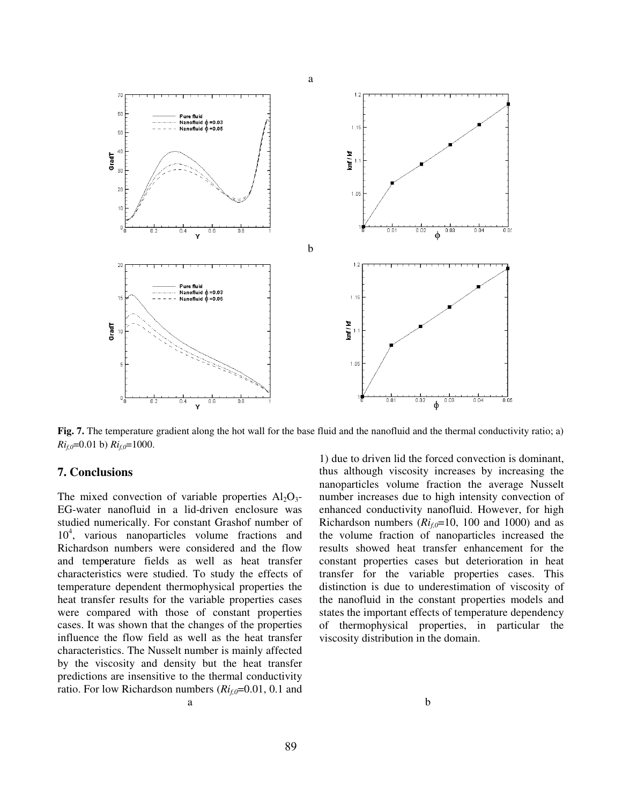

**Fig. 7.** The temperature gradient along the hot wall for the base fluid and the nanofluid and the thermal conductivity ratio; a)  $Ri_{f,0}=0.01$  b)  $Ri_{f,0}=1000$ .

## **7. Conclusions**

The mixed convection of variable properties  $Al_2O_3$ -EG-water nanofluid in a lid-driven enclosure was studied numerically. For constant Grashof number of 10<sup>4</sup> , various nanoparticles volume fractions and Richardson numbers were considered and the flow and temp**e**rature fields as well as heat transfer characteristics were studied. To study the effects of temperature dependent thermophysical properties the heat transfer results for the variable properties cases were compared with those of constant properties cases. It was shown that the changes of the properties influence the flow field as well as the heat transfer characteristics. The Nusselt number is mainly affected by the viscosity and density but the heat transfer predictions are insensitive to the thermal conductivity ratio. For low Richardson numbers (*Rif,0*=0.01, 0.1 and

1) due to driven lid the forced convection is dominant, thus although viscosity increases by increasing the nanoparticles volume fraction the average Nusselt number increases due to high intensity convection of enhanced conductivity nanofluid. However, for high Richardson numbers  $(Ri_{f0}=10, 100$  and 1000) and as the volume fraction of nanoparticles increased the results showed heat transfer enhancement for the constant properties cases but deterioration in heat transfer for the variable properties cases. This distinction is due to underestimation of viscosity of the nanofluid in the constant properties models and states the important effects of temperature dependency of thermophysical properties, in particular the viscosity distribution in the domain.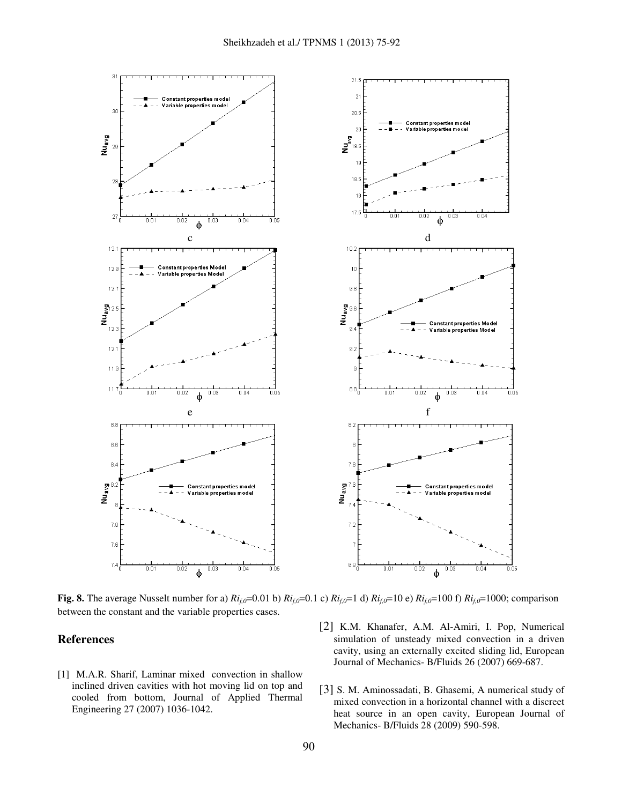

**Fig. 8.** The average Nusselt number for a)  $Ri_{f,0}=0.01$  b)  $Ri_{f,0}=0.1$  c)  $Ri_{f,0}=1$  d)  $Ri_{f,0}=100$  f)  $Ri_{f,0}=1000$ ; comparison between the constant and the variable properties cases.

## **References**

- [1] M.A.R. Sharif, Laminar mixed convection in shallow inclined driven cavities with hot moving lid on top and cooled from bottom, Journal of Applied Thermal Engineering 27 (2007) 1036-1042.
- [2] K.M. Khanafer, A.M. Al-Amiri, I. Pop, Numerical simulation of unsteady mixed convection in a driven cavity, using an externally excited sliding lid, European Journal of Mechanics- B/Fluids 26 (2007) 669-687.
- [3] S. M. Aminossadati, B. Ghasemi, A numerical study of mixed convection in a horizontal channel with a discreet heat source in an open cavity, European Journal of Mechanics- B/Fluids 28 (2009) 590-598.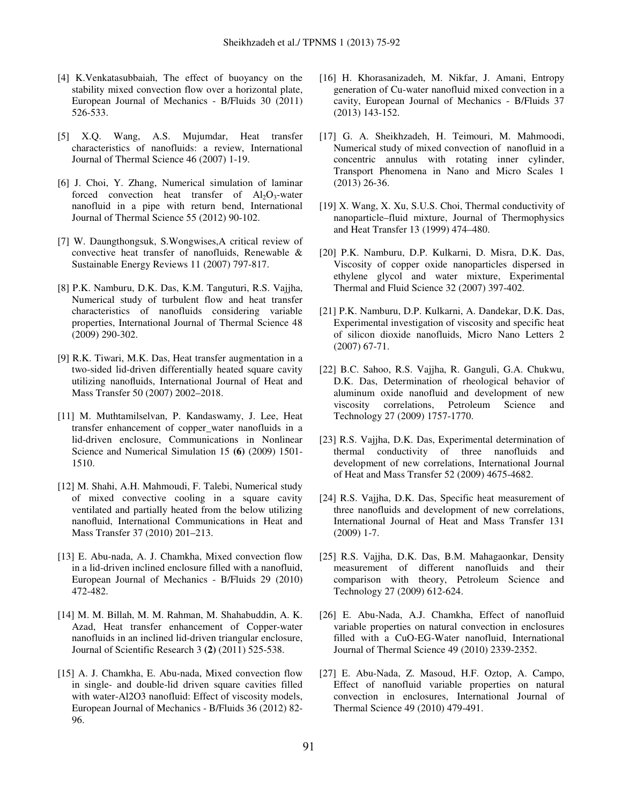- [4] K.Venkatasubbaiah, The effect of buoyancy on the stability mixed convection flow over a horizontal plate, European Journal of Mechanics - B/Fluids 30 (2011) 526-533.
- [5] X.Q. Wang, A.S. Mujumdar, Heat transfer characteristics of nanofluids: a review, International Journal of Thermal Science 46 (2007) 1-19.
- [6] J. Choi, Y. Zhang, Numerical simulation of laminar forced convection heat transfer of  $Al_2O_3$ -water nanofluid in a pipe with return bend, International Journal of Thermal Science 55 (2012) 90-102.
- [7] W. Daungthongsuk, S.Wongwises,A critical review of convective heat transfer of nanofluids, Renewable & Sustainable Energy Reviews 11 (2007) 797-817.
- [8] P.K. Namburu, D.K. Das, K.M. Tanguturi, R.S. Vajjha, Numerical study of turbulent flow and heat transfer characteristics of nanofluids considering variable properties, International Journal of Thermal Science 48 (2009) 290-302.
- [9] R.K. Tiwari, M.K. Das, Heat transfer augmentation in a two-sided lid-driven differentially heated square cavity utilizing nanofluids, International Journal of Heat and Mass Transfer 50 (2007) 2002–2018.
- [11] M. Muthtamilselvan, P. Kandaswamy, J. Lee, Heat transfer enhancement of copper\_water nanofluids in a lid-driven enclosure, Communications in Nonlinear Science and Numerical Simulation 15 **(6)** (2009) 1501- 1510.
- [12] M. Shahi, A.H. Mahmoudi, F. Talebi, Numerical study of mixed convective cooling in a square cavity ventilated and partially heated from the below utilizing nanofluid, International Communications in Heat and Mass Transfer 37 (2010) 201–213.
- [13] E. Abu-nada, A. J. Chamkha, Mixed convection flow in a lid-driven inclined enclosure filled with a nanofluid, European Journal of Mechanics - B/Fluids 29 (2010) 472-482.
- [14] M. M. Billah, M. M. Rahman, M. Shahabuddin, A. K. Azad, Heat transfer enhancement of Copper-water nanofluids in an inclined lid-driven triangular enclosure, Journal of Scientific Research 3 **(2)** (2011) 525-538.
- [15] A. J. Chamkha, E. Abu-nada, Mixed convection flow in single- and double-lid driven square cavities filled with water-Al2O3 nanofluid: Effect of viscosity models, European Journal of Mechanics - B/Fluids 36 (2012) 82- 96.
- [16] H. Khorasanizadeh, M. Nikfar, J. Amani, Entropy generation of Cu-water nanofluid mixed convection in a cavity, European Journal of Mechanics - B/Fluids 37 (2013) 143-152.
- [17] G. A. Sheikhzadeh, H. Teimouri, M. Mahmoodi, Numerical study of mixed convection of nanofluid in a concentric annulus with rotating inner cylinder, Transport Phenomena in Nano and Micro Scales 1 (2013) 26-36.
- [19] X. Wang, X. Xu, S.U.S. Choi, Thermal conductivity of nanoparticle–fluid mixture, Journal of Thermophysics and Heat Transfer 13 (1999) 474–480.
- [20] P.K. Namburu, D.P. Kulkarni, D. Misra, D.K. Das, Viscosity of copper oxide nanoparticles dispersed in ethylene glycol and water mixture, Experimental Thermal and Fluid Science 32 (2007) 397-402.
- [21] P.K. Namburu, D.P. Kulkarni, A. Dandekar, D.K. Das, Experimental investigation of viscosity and specific heat of silicon dioxide nanofluids, Micro Nano Letters 2 (2007) 67-71.
- [22] B.C. Sahoo, R.S. Vajjha, R. Ganguli, G.A. Chukwu, D.K. Das, Determination of rheological behavior of aluminum oxide nanofluid and development of new viscosity correlations, Petroleum Science and Technology 27 (2009) 1757-1770.
- [23] R.S. Vajjha, D.K. Das, Experimental determination of thermal conductivity of three nanofluids and development of new correlations, International Journal of Heat and Mass Transfer 52 (2009) 4675-4682.
- [24] R.S. Vajjha, D.K. Das, Specific heat measurement of three nanofluids and development of new correlations, International Journal of Heat and Mass Transfer 131 (2009) 1-7.
- [25] R.S. Vajjha, D.K. Das, B.M. Mahagaonkar, Density measurement of different nanofluids and their comparison with theory, Petroleum Science and Technology 27 (2009) 612-624.
- [26] E. Abu-Nada, A.J. Chamkha, Effect of nanofluid variable properties on natural convection in enclosures filled with a CuO-EG-Water nanofluid, International Journal of Thermal Science 49 (2010) 2339-2352.
- [27] E. Abu-Nada, Z. Masoud, H.F. Oztop, A. Campo, Effect of nanofluid variable properties on natural convection in enclosures, International Journal of Thermal Science 49 (2010) 479-491.